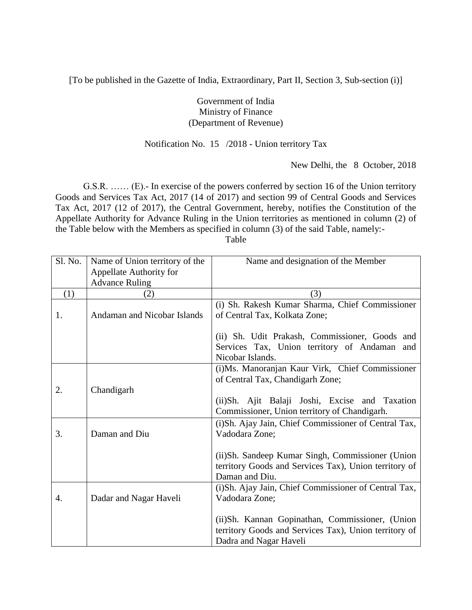[To be published in the Gazette of India, Extraordinary, Part II, Section 3, Sub-section (i)]

## Government of India Ministry of Finance (Department of Revenue)

## Notification No. 15 /2018 - Union territory Tax

New Delhi, the 8 October, 2018

G.S.R. …… (E).- In exercise of the powers conferred by section 16 of the Union territory Goods and Services Tax Act, 2017 (14 of 2017) and section 99 of Central Goods and Services Tax Act, 2017 (12 of 2017), the Central Government, hereby, notifies the Constitution of the Appellate Authority for Advance Ruling in the Union territories as mentioned in column (2) of the Table below with the Members as specified in column (3) of the said Table, namely:- Table

| Sl. No. | Name of Union territory of the | Name and designation of the Member                    |
|---------|--------------------------------|-------------------------------------------------------|
|         | Appellate Authority for        |                                                       |
|         | <b>Advance Ruling</b>          |                                                       |
| (1)     | (2)                            | (3)                                                   |
|         |                                | (i) Sh. Rakesh Kumar Sharma, Chief Commissioner       |
| 1.      | Andaman and Nicobar Islands    | of Central Tax, Kolkata Zone;                         |
|         |                                |                                                       |
|         |                                | (ii) Sh. Udit Prakash, Commissioner, Goods and        |
|         |                                | Services Tax, Union territory of Andaman and          |
|         |                                | Nicobar Islands.                                      |
|         |                                | (i)Ms. Manoranjan Kaur Virk, Chief Commissioner       |
|         |                                | of Central Tax, Chandigarh Zone;                      |
| 2.      | Chandigarh                     |                                                       |
|         |                                | (ii)Sh. Ajit Balaji Joshi, Excise and Taxation        |
|         |                                | Commissioner, Union territory of Chandigarh.          |
|         |                                | (i) Sh. Ajay Jain, Chief Commissioner of Central Tax, |
| 3.      | Daman and Diu                  | Vadodara Zone;                                        |
|         |                                |                                                       |
|         |                                | (ii) Sh. Sandeep Kumar Singh, Commissioner (Union     |
|         |                                | territory Goods and Services Tax), Union territory of |
|         |                                | Daman and Diu.                                        |
|         |                                | (i)Sh. Ajay Jain, Chief Commissioner of Central Tax,  |
| 4.      | Dadar and Nagar Haveli         | Vadodara Zone;                                        |
|         |                                |                                                       |
|         |                                | (ii)Sh. Kannan Gopinathan, Commissioner, (Union       |
|         |                                | territory Goods and Services Tax), Union territory of |
|         |                                | Dadra and Nagar Haveli                                |